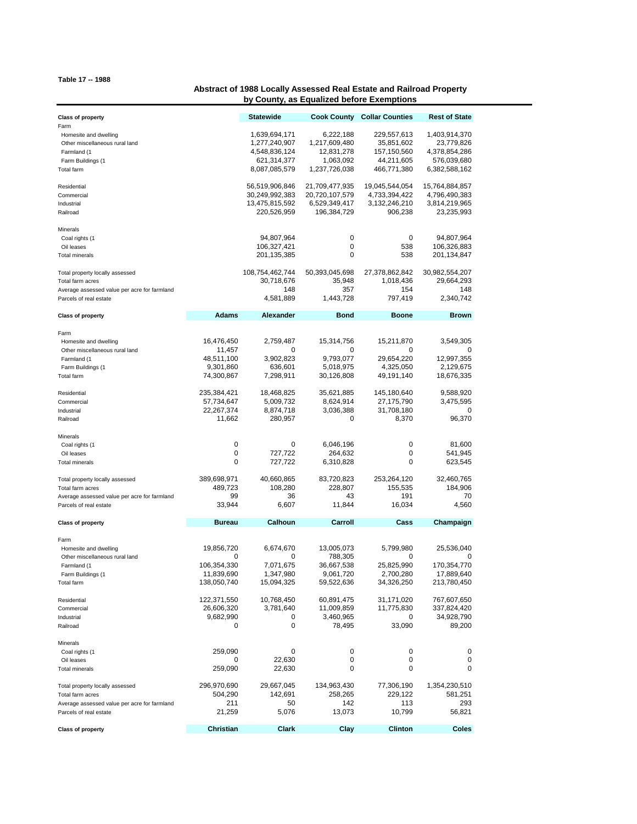## **Table 17 -- 1988**

## **Abstract of 1988 Locally Assessed Real Estate and Railroad Property by County, as Equalized before Exemptions**

| <b>Class of property</b>                                                                                                      |                                                             | Statewide                                                         | <b>Cook County</b>                                               | <b>Collar Counties</b>                                      | <b>Rest of State</b>                                           |
|-------------------------------------------------------------------------------------------------------------------------------|-------------------------------------------------------------|-------------------------------------------------------------------|------------------------------------------------------------------|-------------------------------------------------------------|----------------------------------------------------------------|
| Farm<br>Homesite and dwelling<br>Other miscellaneous rural land<br>Farmland (1<br>Farm Buildings (1                           |                                                             | 1,639,694,171<br>1,277,240,907<br>4,548,836,124<br>621,314,377    | 6,222,188<br>1,217,609,480<br>12,831,278<br>1,063,092            | 229,557,613<br>35,851,602<br>157,150,560<br>44,211,605      | 1,403,914,370<br>23,779,826<br>4,378,854,286<br>576,039,680    |
| Total farm                                                                                                                    |                                                             | 8,087,085,579                                                     | 1,237,726,038                                                    | 466,771,380                                                 | 6,382,588,162                                                  |
| Residential<br>Commercial<br>Industrial<br>Railroad                                                                           |                                                             | 56,519,906,846<br>30,249,992,383<br>13,475,815,592<br>220,526,959 | 21,709,477,935<br>20,720,107,579<br>6,529,349,417<br>196,384,729 | 19,045,544,054<br>4,733,394,422<br>3,132,246,210<br>906,238 | 15,764,884,857<br>4,796,490,383<br>3,814,219,965<br>23,235,993 |
| Minerals<br>Coal rights (1<br>Oil leases                                                                                      |                                                             | 94,807,964<br>106,327,421                                         | 0<br>0                                                           | 0<br>538                                                    | 94,807,964<br>106,326,883                                      |
| <b>Total minerals</b>                                                                                                         |                                                             | 201,135,385                                                       | 0                                                                | 538                                                         | 201,134,847                                                    |
| Total property locally assessed<br>Total farm acres<br>Average assessed value per acre for farmland                           |                                                             | 108,754,462,744<br>30,718,676<br>148                              | 50,393,045,698<br>35,948<br>357                                  | 27,378,862,842<br>1,018,436<br>154                          | 30,982,554,207<br>29,664,293<br>148                            |
| Parcels of real estate                                                                                                        |                                                             | 4,581,889                                                         | 1,443,728                                                        | 797,419                                                     | 2,340,742                                                      |
| <b>Class of property</b>                                                                                                      | <b>Adams</b>                                                | <b>Alexander</b>                                                  | Bond                                                             | <b>Boone</b>                                                | Brown                                                          |
| Farm<br>Homesite and dwelling<br>Other miscellaneous rural land<br>Farmland (1<br>Farm Buildings (1                           | 16,476,450<br>11,457<br>48,511,100<br>9,301,860             | 2,759,487<br>0<br>3,902,823<br>636,601                            | 15,314,756<br>0<br>9,793,077<br>5,018,975                        | 15,211,870<br>0<br>29,654,220<br>4,325,050                  | 3,549,305<br>0<br>12,997,355<br>2,129,675                      |
| Total farm                                                                                                                    | 74,300,867                                                  | 7,298,911                                                         | 30,126,808                                                       | 49,191,140                                                  | 18,676,335                                                     |
| Residential<br>Commercial<br>Industrial<br>Railroad                                                                           | 235,384,421<br>57,734,647<br>22,267,374<br>11,662           | 18,468,825<br>5,009,732<br>8,874,718<br>280,957                   | 35,621,885<br>8,624,914<br>3,036,388<br>0                        | 145,180,640<br>27,175,790<br>31,708,180<br>8,370            | 9,588,920<br>3,475,595<br>0<br>96,370                          |
| Minerals<br>Coal rights (1<br>Oil leases                                                                                      | 0<br>0                                                      | 0<br>727,722                                                      | 6,046,196<br>264,632                                             | 0<br>0                                                      | 81,600<br>541,945                                              |
| <b>Total minerals</b>                                                                                                         | 0                                                           | 727,722                                                           | 6,310,828                                                        | 0                                                           | 623,545                                                        |
| Total property locally assessed<br>Total farm acres<br>Average assessed value per acre for farmland<br>Parcels of real estate | 389,698,971<br>489,723<br>99<br>33,944                      | 40,660,865<br>108,280<br>36<br>6,607                              | 83,720,823<br>228,807<br>43<br>11,844                            | 253,264,120<br>155,535<br>191<br>16,034                     | 32,460,765<br>184,906<br>70<br>4,560                           |
| <b>Class of property</b>                                                                                                      | <b>Bureau</b>                                               | Calhoun                                                           | Carroll                                                          | Cass                                                        | Champaign                                                      |
| Farm<br>Homesite and dwelling<br>Other miscellaneous rural land<br>Farmland (1<br>Farm Buildings (1<br>Total farm             | 19,856,720<br>0<br>106,354,330<br>11,839,690<br>138,050,740 | 6,674,670<br>0<br>7,071,675<br>1,347,980<br>15,094,325            | 13,005,073<br>788,305<br>36,667,538<br>9,061,720<br>59,522,636   | 5,799,980<br>0<br>25,825,990<br>2,700,280<br>34,326,250     | 25,536,040<br>0<br>170,354,770<br>17,889,640<br>213,780,450    |
| Residential<br>Commercial<br>Industrial<br>Railroad                                                                           | 122,371,550<br>26,606,320<br>9,682,990<br>0                 | 10,768,450<br>3,781,640<br>0<br>0                                 | 60,891,475<br>11,009,859<br>3,460,965<br>78,495                  | 31,171,020<br>11,775,830<br>0<br>33,090                     | 767,607,650<br>337,824,420<br>34,928,790<br>89,200             |
| Minerals<br>Coal rights (1<br>Oil leases<br><b>Total minerals</b>                                                             | 259,090<br>0<br>259,090                                     | 0<br>22,630<br>22,630                                             | 0<br>0<br>0                                                      | 0<br>0<br>0                                                 | 0<br>0<br>0                                                    |
| Total property locally assessed<br>Total farm acres<br>Average assessed value per acre for farmland<br>Parcels of real estate | 296,970,690<br>504,290<br>211<br>21,259                     | 29,667,045<br>142,691<br>50<br>5,076                              | 134,963,430<br>258,265<br>142<br>13,073                          | 77,306,190<br>229,122<br>113<br>10,799                      | 1,354,230,510<br>581,251<br>293<br>56,821                      |
| <b>Class of property</b>                                                                                                      | Christian                                                   | Clark                                                             | Clay                                                             | <b>Clinton</b>                                              | Coles                                                          |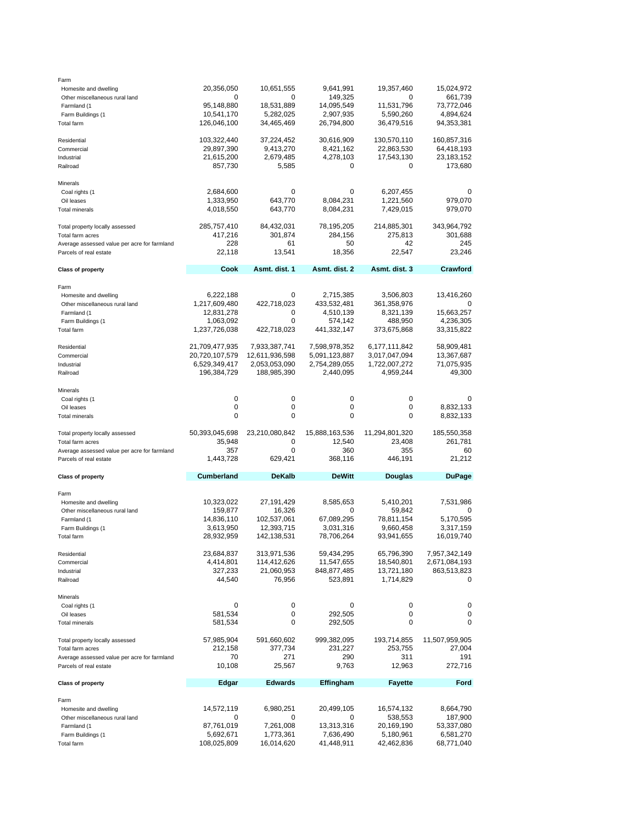| Farm                                          |                            |                         |                         |                         |                         |
|-----------------------------------------------|----------------------------|-------------------------|-------------------------|-------------------------|-------------------------|
| Homesite and dwelling                         | 20,356,050                 | 10,651,555              | 9,641,991               | 19,357,460              | 15,024,972              |
| Other miscellaneous rural land<br>Farmland (1 | 0<br>95,148,880            | 0<br>18,531,889         | 149,325<br>14,095,549   | 0<br>11,531,796         | 661,739<br>73,772,046   |
| Farm Buildings (1                             | 10,541,170                 | 5,282,025               | 2,907,935               | 5,590,260               | 4,894,624               |
| Total farm                                    | 126,046,100                | 34,465,469              | 26,794,800              | 36,479,516              | 94,353,381              |
|                                               |                            |                         |                         |                         |                         |
| Residential                                   | 103,322,440                | 37,224,452              | 30,616,909              | 130,570,110             | 160,857,316             |
| Commercial                                    | 29,897,390                 | 9,413,270               | 8,421,162               | 22,863,530              | 64,418,193              |
| Industrial                                    | 21,615,200                 | 2,679,485               | 4,278,103               | 17,543,130              | 23,183,152              |
| Railroad                                      | 857,730                    | 5,585                   | 0                       | 0                       | 173,680                 |
|                                               |                            |                         |                         |                         |                         |
| Minerals<br>Coal rights (1                    | 2,684,600                  | 0                       | 0                       | 6,207,455               | 0                       |
| Oil leases                                    | 1,333,950                  | 643,770                 | 8,084,231               | 1,221,560               | 979,070                 |
| <b>Total minerals</b>                         | 4,018,550                  | 643,770                 | 8,084,231               | 7,429,015               | 979,070                 |
|                                               |                            |                         |                         |                         |                         |
| Total property locally assessed               | 285,757,410                | 84,432,031              | 78,195,205              | 214,885,301             | 343,964,792             |
| Total farm acres                              | 417,216                    | 301,874                 | 284,156                 | 275,813                 | 301,688                 |
| Average assessed value per acre for farmland  | 228                        | 61                      | 50                      | 42                      | 245                     |
| Parcels of real estate                        | 22,118                     | 13,541                  | 18,356                  | 22,547                  | 23,246                  |
| <b>Class of property</b>                      | Cook                       | Asmt. dist. 1           | Asmt. dist. 2           | Asmt. dist. 3           | Crawford                |
|                                               |                            |                         |                         |                         |                         |
| Farm                                          |                            |                         |                         |                         |                         |
| Homesite and dwelling                         | 6,222,188                  | 0                       | 2,715,385               | 3,506,803               | 13,416,260              |
| Other miscellaneous rural land                | 1,217,609,480              | 422,718,023             | 433,532,481             | 361,358,976             | 0                       |
| Farmland (1                                   | 12,831,278                 | 0                       | 4,510,139               | 8,321,139               | 15,663,257              |
| Farm Buildings (1<br>Total farm               | 1,063,092<br>1,237,726,038 | 0<br>422,718,023        | 574,142<br>441,332,147  | 488,950<br>373,675,868  | 4,236,305<br>33,315,822 |
|                                               |                            |                         |                         |                         |                         |
| Residential                                   | 21,709,477,935             | 7,933,387,741           | 7,598,978,352           | 6,177,111,842           | 58,909,481              |
| Commercial                                    | 20,720,107,579             | 12,611,936,598          | 5,091,123,887           | 3,017,047,094           | 13,367,687              |
| Industrial                                    | 6,529,349,417              | 2,053,053,090           | 2,754,289,055           | 1,722,007,272           | 71,075,935              |
| Railroad                                      | 196,384,729                | 188,985,390             | 2,440,095               | 4,959,244               | 49,300                  |
|                                               |                            |                         |                         |                         |                         |
| Minerals<br>Coal rights (1                    | 0                          | 0                       | 0                       | 0                       | 0                       |
| Oil leases                                    | 0                          | 0                       | 0                       | 0                       | 8,832,133               |
|                                               |                            |                         |                         |                         |                         |
|                                               | $\mathbf 0$                | 0                       | 0                       | 0                       |                         |
| <b>Total minerals</b>                         |                            |                         |                         |                         | 8,832,133               |
| Total property locally assessed               | 50,393,045,698             | 23,210,080,842          | 15,888,163,536          | 11,294,801,320          | 185,550,358             |
| Total farm acres                              | 35,948                     | 0                       | 12,540                  | 23,408                  | 261,781                 |
| Average assessed value per acre for farmland  | 357                        | 0                       | 360                     | 355                     | 60                      |
| Parcels of real estate                        | 1,443,728                  | 629,421                 | 368,116                 | 446,191                 | 21,212                  |
|                                               | <b>Cumberland</b>          | <b>DeKalb</b>           | <b>DeWitt</b>           |                         |                         |
| <b>Class of property</b>                      |                            |                         |                         | Douglas                 | <b>DuPage</b>           |
| Farm                                          |                            |                         |                         |                         |                         |
| Homesite and dwelling                         | 10,323,022                 | 27,191,429              | 8,585,653               | 5,410,201               | 7,531,986               |
| Other miscellaneous rural land                | 159,877                    | 16,326                  | 0                       | 59,842                  | 0                       |
| Farmland (1                                   | 14,836,110                 | 102,537,061             | 67,089,295              | 78,811,154              | 5,170,595               |
| Farm Buildings (1                             | 3,613,950                  | 12,393,715              | 3,031,316               | 9,660,458               | 3,317,159               |
| Total farm                                    | 28,932,959                 | 142,138,531             | 78,706,264              | 93,941,655              | 16,019,740              |
| Residential                                   | 23,684,837                 | 313,971,536             | 59,434,295              | 65,796,390              | 7,957,342,149           |
| Commercial                                    | 4,414,801                  | 114,412,626             | 11,547,655              | 18,540,801              | 2,671,084,193           |
| Industrial                                    | 327,233                    | 21,060,953              | 848,877,485             | 13,721,180              | 863,513,823             |
| Railroad                                      | 44,540                     | 76,956                  | 523,891                 | 1,714,829               | 0                       |
|                                               |                            |                         |                         |                         |                         |
| Minerals                                      |                            |                         |                         |                         |                         |
| Coal rights (1                                | 0                          | 0                       | 0                       | 0                       | 0                       |
| Oil leases<br><b>Total minerals</b>           | 581,534                    | 0<br>0                  | 292,505                 | 0<br>0                  | 0<br>0                  |
|                                               | 581,534                    |                         | 292,505                 |                         |                         |
| Total property locally assessed               | 57,985,904                 | 591,660,602             | 999,382,095             | 193,714,855             | 11,507,959,905          |
| Total farm acres                              | 212,158                    | 377,734                 | 231,227                 | 253,755                 | 27,004                  |
| Average assessed value per acre for farmland  | 70                         | 271                     | 290                     | 311                     | 191                     |
| Parcels of real estate                        | 10,108                     | 25,567                  | 9,763                   | 12,963                  | 272,716                 |
|                                               |                            |                         |                         |                         |                         |
| <b>Class of property</b>                      | Edgar                      | <b>Edwards</b>          | Effingham               | <b>Fayette</b>          | Ford                    |
| Farm                                          |                            |                         |                         |                         |                         |
| Homesite and dwelling                         | 14,572,119                 | 6,980,251               | 20,499,105              | 16,574,132              | 8,664,790               |
| Other miscellaneous rural land                | 0                          | 0                       | 0                       | 538,553                 | 187,900                 |
| Farmland (1                                   | 87,761,019                 | 7,261,008               | 13,313,316              | 20,169,190              | 53,337,080              |
| Farm Buildings (1<br>Total farm               | 5,692,671<br>108,025,809   | 1,773,361<br>16,014,620 | 7,636,490<br>41,448,911 | 5,180,961<br>42,462,836 | 6,581,270<br>68,771,040 |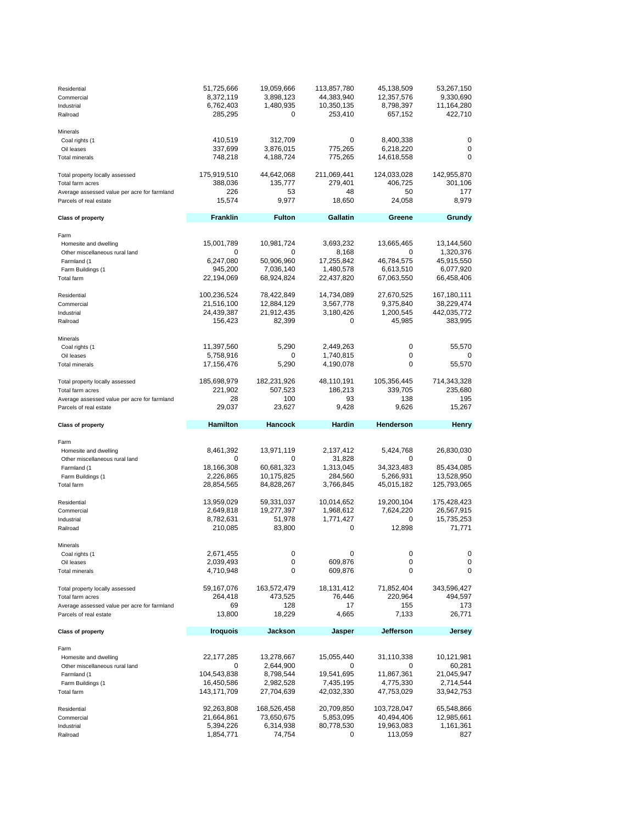| Residential<br>Commercial<br>Industrial<br>Railroad                                                                              | 51,725,666<br>8,372,119<br>6,762,403<br>285,295                 | 19,059,666<br>3,898,123<br>1,480,935<br>$\mathbf 0$                    | 113,857,780<br>44,383,940<br>10,350,135<br>253,410                        | 45,138,509<br>12,357,576<br>8,798,397<br>657,152                       | 53,267,150<br>9,330,690<br>11,164,280<br>422,710                                |
|----------------------------------------------------------------------------------------------------------------------------------|-----------------------------------------------------------------|------------------------------------------------------------------------|---------------------------------------------------------------------------|------------------------------------------------------------------------|---------------------------------------------------------------------------------|
| Minerals<br>Coal rights (1<br>Oil leases<br><b>Total minerals</b>                                                                | 410,519<br>337,699<br>748,218                                   | 312,709<br>3,876,015<br>4,188,724                                      | 0<br>775,265<br>775,265                                                   | 8,400,338<br>6,218,220<br>14,618,558                                   | 0<br>0<br>0                                                                     |
| Total property locally assessed<br>Total farm acres<br>Average assessed value per acre for farmland<br>Parcels of real estate    | 175,919,510<br>388,036<br>226<br>15,574                         | 44,642,068<br>135,777<br>53<br>9,977                                   | 211,069,441<br>279,401<br>48<br>18,650                                    | 124,033,028<br>406,725<br>50<br>24,058                                 | 142,955,870<br>301,106<br>177<br>8,979                                          |
| <b>Class of property</b>                                                                                                         | <b>Franklin</b>                                                 | <b>Fulton</b>                                                          | <b>Gallatin</b>                                                           | Greene                                                                 | Grundy                                                                          |
| Farm<br>Homesite and dwelling<br>Other miscellaneous rural land<br>Farmland (1<br>Farm Buildings (1<br>Total farm<br>Residential | 15,001,789<br>6,247,080<br>945,200<br>22,194,069<br>100,236,524 | 10,981,724<br>0<br>50,906,960<br>7,036,140<br>68,924,824<br>78,422,849 | 3,693,232<br>8,168<br>17,255,842<br>1,480,578<br>22,437,820<br>14,734,089 | 13,665,465<br>0<br>46,784,575<br>6,613,510<br>67,063,550<br>27,670,525 | 13,144,560<br>1,320,376<br>45,915,550<br>6,077,920<br>66,458,406<br>167,180,111 |
| Commercial<br>Industrial<br>Railroad                                                                                             | 21,516,100<br>24,439,387<br>156,423                             | 12,884,129<br>21,912,435<br>82,399                                     | 3,567,778<br>3,180,426<br>0                                               | 9,375,840<br>1,200,545<br>45,985                                       | 38,229,474<br>442,035,772<br>383,995                                            |
| Minerals<br>Coal rights (1<br>Oil leases<br><b>Total minerals</b>                                                                | 11,397,560<br>5,758,916<br>17,156,476                           | 5,290<br>0<br>5,290                                                    | 2,449,263<br>1,740,815<br>4,190,078                                       | 0<br>0<br>0                                                            | 55,570<br>0<br>55,570                                                           |
| Total property locally assessed<br>Total farm acres<br>Average assessed value per acre for farmland                              | 185,698,979<br>221,902<br>28                                    | 182,231,926<br>507,523<br>100                                          | 48,110,191<br>186,213<br>93                                               | 105,356,445<br>339,705<br>138                                          | 714,343,328<br>235,680<br>195                                                   |
| Parcels of real estate                                                                                                           | 29,037                                                          | 23,627                                                                 | 9,428                                                                     | 9,626                                                                  | 15,267                                                                          |
| <b>Class of property</b>                                                                                                         | <b>Hamilton</b>                                                 | Hancock                                                                | Hardin                                                                    | Henderson                                                              | <b>Henry</b>                                                                    |
| Farm<br>Homesite and dwelling<br>Other miscellaneous rural land<br>Farmland (1<br>Farm Buildings (1<br>Total farm                | 8,461,392<br>0<br>18,166,308<br>2,226,865<br>28,854,565         | 13,971,119<br>0<br>60,681,323<br>10,175,825<br>84,828,267              | 2,137,412<br>31,828<br>1,313,045<br>284,560<br>3,766,845                  | 5,424,768<br>0<br>34,323,483<br>5,266,931<br>45,015,182                | 26,830,030<br>0<br>85,434,085<br>13,528,950<br>125,793,065                      |
| Residential<br>Commercial<br>Industrial<br>Railroad                                                                              | 13,959,029<br>2,649,818<br>8,782,631<br>210,085                 | 59,331,037<br>19,277,397<br>51,978<br>83,800                           | 10,014,652<br>1,968,612<br>1,771,427<br>0                                 | 19,200,104<br>7,624,220<br>0<br>12,898                                 | 175,428,423<br>26,567,915<br>15,735,253<br>71,771                               |
| Minerals<br>Coal rights (1<br>Oil leases<br>Total minerals                                                                       | 2,671,455<br>2,039,493<br>4,710,948                             | 0<br>0<br>0                                                            | 0<br>609,876<br>609,876                                                   | 0<br>0<br>0                                                            | 0<br>0<br>0                                                                     |
| Total property locally assessed<br>Total farm acres<br>Average assessed value per acre for farmland<br>Parcels of real estate    | 59,167,076<br>264,418<br>69<br>13,800                           | 163,572,479<br>473,525<br>128<br>18,229                                | 18,131,412<br>76,446<br>17<br>4,665                                       | 71,852,404<br>220,964<br>155<br>7,133                                  | 343,596,427<br>494,597<br>173<br>26,771                                         |
| <b>Class of property</b>                                                                                                         | Iroquois                                                        | Jackson                                                                | Jasper                                                                    | <b>Jefferson</b>                                                       | Jersey                                                                          |
| Farm<br>Homesite and dwelling<br>Other miscellaneous rural land<br>Farmland (1<br>Farm Buildings (1<br>Total farm                | 22,177,285<br>0<br>104,543,838<br>16,450,586<br>143,171,709     | 13,278,667<br>2,644,900<br>8,798,544<br>2,982,528<br>27,704,639        | 15,055,440<br>0<br>19,541,695<br>7,435,195<br>42,032,330                  | 31,110,338<br>0<br>11,867,361<br>4,775,330<br>47,753,029               | 10,121,981<br>60,281<br>21,045,947<br>2,714,544<br>33,942,753                   |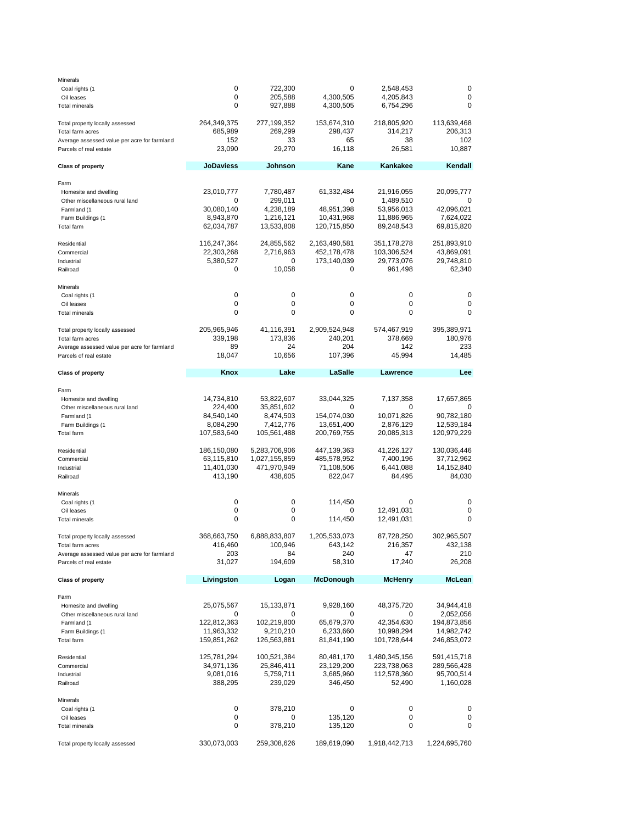| Minerals                                     |                         |                         |                           |                          |                         |
|----------------------------------------------|-------------------------|-------------------------|---------------------------|--------------------------|-------------------------|
| Coal rights (1                               | 0                       | 722,300                 | 0                         | 2,548,453                | 0                       |
| Oil leases                                   | 0                       | 205,588                 | 4,300,505                 | 4,205,843                | 0                       |
| <b>Total minerals</b>                        | 0                       | 927,888                 | 4,300,505                 | 6,754,296                | 0                       |
| Total property locally assessed              | 264,349,375             | 277,199,352             | 153,674,310               | 218,805,920              | 113,639,468             |
| Total farm acres                             | 685,989                 | 269,299                 | 298,437                   | 314,217                  | 206,313                 |
| Average assessed value per acre for farmland | 152                     | 33                      | 65                        | 38                       | 102                     |
| Parcels of real estate                       | 23,090                  | 29,270                  | 16,118                    | 26,581                   | 10,887                  |
| <b>Class of property</b>                     | <b>JoDaviess</b>        | Johnson                 | Kane                      | Kankakee                 | Kendall                 |
| Farm                                         |                         |                         |                           |                          |                         |
| Homesite and dwelling                        | 23,010,777              | 7,780,487               | 61,332,484                | 21,916,055               | 20,095,777              |
| Other miscellaneous rural land               | 0                       | 299,011                 | 0                         | 1,489,510                | 0                       |
| Farmland (1                                  | 30,080,140              | 4,238,189               | 48,951,398                | 53,956,013               | 42,096,021              |
| Farm Buildings (1<br>Total farm              | 8,943,870<br>62,034,787 | 1,216,121<br>13,533,808 | 10,431,968<br>120,715,850 | 11,886,965<br>89,248,543 | 7,624,022<br>69,815,820 |
|                                              |                         |                         |                           |                          |                         |
| Residential                                  | 116,247,364             | 24,855,562              | 2,163,490,581             | 351,178,278              | 251,893,910             |
| Commercial                                   | 22,303,268              | 2,716,963               | 452,178,478               | 103,306,524              | 43,869,091              |
| Industrial                                   | 5,380,527               | 0                       | 173,140,039               | 29,773,076               | 29,748,810              |
| Railroad                                     | 0                       | 10,058                  | 0                         | 961,498                  | 62,340                  |
| Minerals                                     |                         |                         |                           |                          |                         |
| Coal rights (1                               | 0                       | 0                       | 0                         | $\mathbf 0$              | 0                       |
| Oil leases<br><b>Total minerals</b>          | 0<br>0                  | 0<br>0                  | 0<br>0                    | 0<br>0                   | 0<br>0                  |
|                                              |                         |                         |                           |                          |                         |
| Total property locally assessed              | 205,965,946             | 41,116,391              | 2,909,524,948             | 574,467,919              | 395,389,971             |
| Total farm acres                             | 339,198                 | 173,836                 | 240,201                   | 378,669                  | 180,976                 |
| Average assessed value per acre for farmland | 89                      | 24                      | 204                       | 142                      | 233                     |
| Parcels of real estate                       | 18,047                  | 10,656                  | 107,396                   | 45,994                   | 14,485                  |
| <b>Class of property</b>                     | Knox                    | Lake                    | LaSalle                   | Lawrence                 | Lee                     |
| Farm                                         |                         |                         |                           |                          |                         |
| Homesite and dwelling                        | 14,734,810              | 53,822,607              | 33,044,325                | 7,137,358                | 17,657,865              |
| Other miscellaneous rural land               | 224,400                 | 35,851,602              | 0                         | 0                        | O                       |
| Farmland (1                                  | 84,540,140              | 8,474,503               | 154,074,030               | 10,071,826               | 90,782,180              |
| Farm Buildings (1                            | 8,084,290               | 7,412,776               | 13,651,400                | 2,876,129                | 12,539,184              |
| Total farm                                   | 107,583,640             | 105,561,488             | 200,769,755               | 20,085,313               | 120,979,229             |
| Residential                                  | 186,150,080             | 5,283,706,906           | 447,139,363               | 41,226,127               | 130,036,446             |
| Commercial                                   | 63,115,810              | 1,027,155,859           | 485,578,952               | 7,400,196                | 37,712,962              |
| Industrial                                   | 11,401,030              | 471,970,949             | 71,108,506                | 6,441,088                | 14,152,840              |
| Railroad                                     | 413,190                 | 438,605                 | 822,047                   | 84,495                   | 84,030                  |
| Minerals                                     |                         |                         |                           |                          |                         |
| Coal rights (1                               | 0                       | 0                       | 114,450                   | $\mathbf 0$              | 0                       |
| Oil leases                                   | 0                       | 0                       | 0                         | 12,491,031               | 0                       |
| Total minerals                               | 0                       | 0                       | 114,450                   | 12,491,031               | 0                       |
| Total property locally assessed              | 368,663,750             | 6,888,833,807           | 1,205,533,073             | 87,728,250               | 302,965,507             |
| Total farm acres                             | 416,460                 | 100,946                 | 643,142                   | 216,357                  | 432,138                 |
| Average assessed value per acre for farmland | 203                     | 84                      | 240                       | 47                       | 210                     |
| Parcels of real estate                       | 31,027                  | 194,609                 | 58,310                    | 17,240                   | 26,208                  |
| <b>Class of property</b>                     | Livingston              | Logan                   | <b>McDonough</b>          | <b>McHenry</b>           | <b>McLean</b>           |
|                                              |                         |                         |                           |                          |                         |
| Farm<br>Homesite and dwelling                | 25,075,567              | 15,133,871              | 9,928,160                 | 48,375,720               | 34,944,418              |
| Other miscellaneous rural land               | 0                       | 0                       | 0                         | 0                        | 2,052,056               |
| Farmland (1                                  | 122,812,363             | 102,219,800             | 65,679,370                | 42,354,630               | 194,873,856             |
| Farm Buildings (1                            | 11,963,332              | 9,210,210               | 6,233,660                 | 10,998,294               | 14,982,742              |
| Total farm                                   | 159,851,262             | 126,563,881             | 81,841,190                | 101,728,644              | 246,853,072             |
| Residential                                  | 125,781,294             | 100,521,384             | 80,481,170                | 1,480,345,156            | 591,415,718             |
| Commercial                                   | 34,971,136              | 25,846,411              | 23,129,200                | 223,738,063              | 289,566,428             |
| Industrial                                   | 9,081,016               | 5,759,711               | 3,685,960                 | 112,578,360              | 95,700,514              |
| Railroad                                     | 388,295                 | 239,029                 | 346,450                   | 52,490                   | 1,160,028               |
| Minerals                                     |                         |                         |                           |                          |                         |
| Coal rights (1                               | 0                       | 378,210                 | 0                         | 0                        | 0                       |
| Oil leases                                   | 0                       | 0                       | 135,120                   | 0                        | 0                       |
| <b>Total minerals</b>                        | 0                       | 378,210                 | 135,120                   | 0                        | 0                       |
| Total property locally assessed              | 330,073,003             | 259,308,626             | 189,619,090               | 1,918,442,713            | 1,224,695,760           |
|                                              |                         |                         |                           |                          |                         |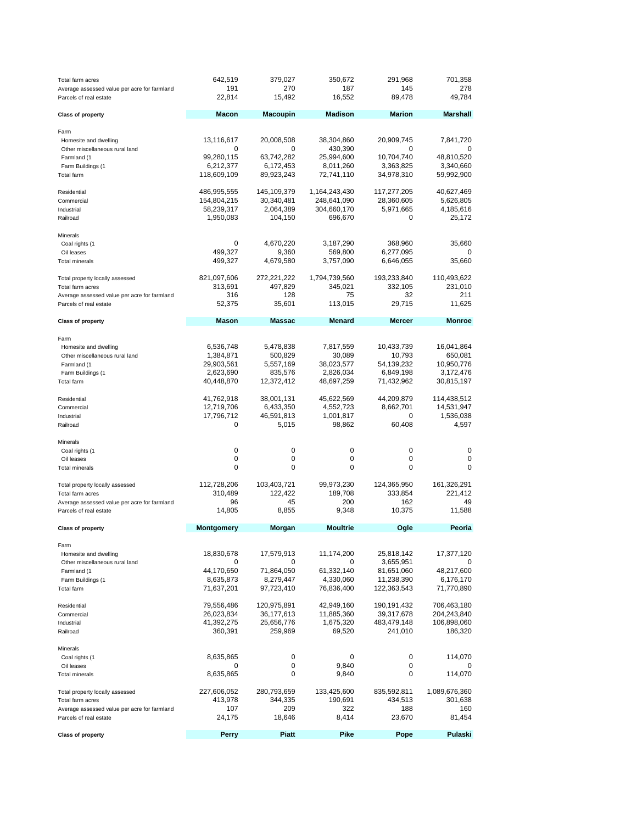| Total farm acres<br>Average assessed value per acre for farmland<br>Parcels of real estate | 642,519<br>191<br>22,814 | 379,027<br>270<br>15,492  | 350,672<br>187<br>16,552 | 291,968<br>145<br>89,478  | 701,358<br>278<br>49,784   |
|--------------------------------------------------------------------------------------------|--------------------------|---------------------------|--------------------------|---------------------------|----------------------------|
| <b>Class of property</b>                                                                   | <b>Macon</b>             | <b>Macoupin</b>           | <b>Madison</b>           | <b>Marion</b>             | <b>Marshall</b>            |
| Farm                                                                                       |                          |                           |                          |                           |                            |
| Homesite and dwelling                                                                      | 13,116,617               | 20,008,508                | 38,304,860               | 20,909,745                | 7,841,720                  |
| Other miscellaneous rural land                                                             | 0                        | 0                         | 430,390                  | $\mathbf 0$               |                            |
| Farmland (1                                                                                | 99,280,115               | 63,742,282                | 25,994,600               | 10,704,740                | 48,810,520                 |
| Farm Buildings (1                                                                          | 6,212,377                | 6,172,453                 | 8,011,260                | 3,363,825                 | 3,340,660                  |
| Total farm                                                                                 | 118,609,109              | 89,923,243                | 72,741,110               | 34,978,310                | 59,992,900                 |
| Residential                                                                                | 486,995,555              | 145,109,379               | 1,164,243,430            | 117,277,205               | 40,627,469                 |
| Commercial                                                                                 | 154,804,215              | 30,340,481                | 248,641,090              | 28,360,605                | 5,626,805                  |
| Industrial<br>Railroad                                                                     | 58,239,317<br>1,950,083  | 2,064,389<br>104,150      | 304,660,170<br>696,670   | 5,971,665<br>0            | 4,185,616<br>25,172        |
|                                                                                            |                          |                           |                          |                           |                            |
| Minerals<br>Coal rights (1                                                                 | 0                        | 4,670,220                 | 3,187,290                | 368,960                   | 35,660                     |
| Oil leases                                                                                 | 499,327                  | 9,360                     | 569,800                  | 6,277,095                 | 0                          |
| <b>Total minerals</b>                                                                      | 499,327                  | 4,679,580                 | 3,757,090                | 6,646,055                 | 35,660                     |
| Total property locally assessed                                                            | 821,097,606              | 272,221,222               | 1,794,739,560            | 193,233,840               | 110,493,622                |
| Total farm acres                                                                           | 313,691                  | 497,829                   | 345,021                  | 332,105                   | 231,010                    |
| Average assessed value per acre for farmland                                               | 316                      | 128                       | 75                       | 32                        | 211                        |
| Parcels of real estate                                                                     | 52,375                   | 35,601                    | 113,015                  | 29,715                    | 11,625                     |
| <b>Class of property</b>                                                                   | Mason                    | Massac                    | <b>Menard</b>            | <b>Mercer</b>             | <b>Monroe</b>              |
| Farm                                                                                       |                          |                           |                          |                           |                            |
| Homesite and dwelling                                                                      | 6,536,748                | 5,478,838                 | 7,817,559                | 10,433,739                | 16,041,864                 |
| Other miscellaneous rural land                                                             | 1,384,871                | 500,829                   | 30,089                   | 10,793                    | 650,081                    |
| Farmland (1                                                                                | 29,903,561               | 5,557,169                 | 38,023,577               | 54,139,232                | 10,950,776                 |
| Farm Buildings (1                                                                          | 2,623,690                | 835,576                   | 2,826,034                | 6,849,198                 | 3,172,476                  |
| Total farm                                                                                 | 40,448,870               | 12,372,412                | 48,697,259               | 71,432,962                | 30,815,197                 |
| Residential                                                                                | 41,762,918               | 38,001,131                | 45,622,569               | 44,209,879                | 114,438,512                |
| Commercial                                                                                 | 12,719,706               | 6,433,350                 | 4,552,723                | 8,662,701<br>0            | 14,531,947                 |
| Industrial<br>Railroad                                                                     | 17,796,712<br>0          | 46,591,813<br>5,015       | 1,001,817<br>98,862      | 60,408                    | 1,536,038<br>4,597         |
| Minerals                                                                                   |                          |                           |                          |                           |                            |
| Coal rights (1                                                                             | 0                        | 0                         | 0                        | 0                         | 0                          |
| Oil leases                                                                                 | 0                        | 0                         | 0                        | 0                         | 0                          |
| <b>Total minerals</b>                                                                      | 0                        | 0                         | 0                        | $\mathbf 0$               | 0                          |
| Total property locally assessed                                                            | 112,728,206              | 103,403,721               | 99,973,230               | 124,365,950               | 161,326,291                |
| Total farm acres                                                                           | 310,489                  | 122,422                   | 189,708                  | 333,854                   | 221,412                    |
| Average assessed value per acre for farmland                                               | 96                       | 45                        | 200                      | 162                       | 49                         |
| Parcels of real estate                                                                     | 14,805                   | 8,855                     | 9,348                    | 10,375                    | 11,588                     |
| <b>Class of property</b>                                                                   | <b>Montgomery</b>        | <b>Morgan</b>             | <b>Moultrie</b>          | Ogle                      | Peoria                     |
| Farm                                                                                       |                          |                           |                          |                           |                            |
| Homesite and dwelling                                                                      | 18,830,678               | 17,579,913                | 11,174,200               | 25,818,142                | 17,377,120                 |
| Other miscellaneous rural land                                                             | $\Omega$                 | 0                         | 0                        | 3,655,951                 |                            |
| Farmland (1                                                                                | 44,170,650               | 71,864,050                | 61,332,140               | 81,651,060                | 48,217,600                 |
| Farm Buildings (1<br>Total farm                                                            | 8,635,873<br>71,637,201  | 8,279,447<br>97,723,410   | 4,330,060<br>76,836,400  | 11,238,390<br>122,363,543 | 6,176,170<br>71,770,890    |
|                                                                                            |                          |                           |                          |                           |                            |
| Residential<br>Commercial                                                                  | 79,556,486<br>26,023,834 | 120,975,891<br>36,177,613 | 42,949,160<br>11,885,360 | 190,191,432<br>39,317,678 | 706,463,180<br>204,243,840 |
| Industrial                                                                                 | 41,392,275               | 25,656,776                | 1,675,320                | 483,479,148               | 106,898,060                |
| Railroad                                                                                   | 360,391                  | 259,969                   | 69,520                   | 241,010                   | 186,320                    |
| Minerals                                                                                   |                          |                           |                          |                           |                            |
| Coal rights (1                                                                             | 8,635,865                | 0                         | 0                        | 0                         | 114,070                    |
| Oil leases                                                                                 | 0                        | 0                         | 9,840                    | 0                         | 0                          |
| <b>Total minerals</b>                                                                      | 8,635,865                | 0                         | 9,840                    | 0                         | 114,070                    |
| Total property locally assessed                                                            | 227,606,052              | 280,793,659               | 133,425,600              | 835,592,811               | 1,089,676,360              |
| Total farm acres                                                                           | 413,978                  | 344,335                   | 190,691                  | 434,513                   | 301,638                    |
| Average assessed value per acre for farmland<br>Parcels of real estate                     | 107<br>24,175            | 209<br>18,646             | 322<br>8,414             | 188<br>23,670             | 160<br>81,454              |
|                                                                                            |                          |                           |                          |                           |                            |
| <b>Class of property</b>                                                                   | <b>Perry</b>             | <b>Piatt</b>              | Pike                     | Pope                      | Pulaski                    |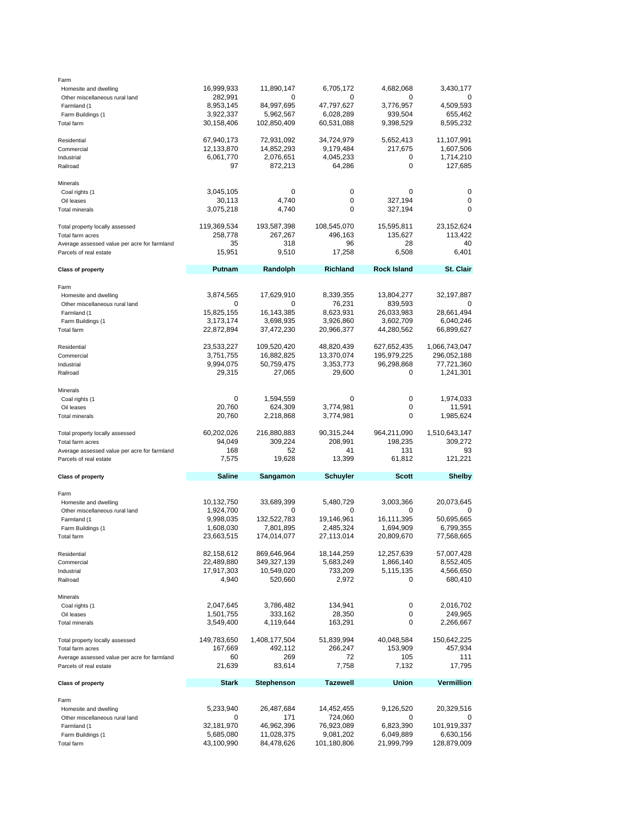| Farm                                         |                         |                          |                          |                         |                          |
|----------------------------------------------|-------------------------|--------------------------|--------------------------|-------------------------|--------------------------|
| Homesite and dwelling                        | 16,999,933              | 11,890,147               | 6,705,172                | 4,682,068               | 3,430,177                |
| Other miscellaneous rural land               | 282,991                 | 0                        | 0                        | o                       |                          |
| Farmland (1                                  | 8,953,145               | 84,997,695               | 47,797,627               | 3,776,957               | 4,509,593                |
| Farm Buildings (1                            | 3,922,337               | 5,962,567                | 6,028,289                | 939,504                 | 655,462                  |
| Total farm                                   | 30,158,406              | 102,850,409              | 60,531,088               | 9,398,529               | 8,595,232                |
|                                              |                         |                          |                          |                         |                          |
|                                              | 67,940,173              |                          |                          |                         | 11,107,991               |
| Residential                                  |                         | 72,931,092               | 34,724,979               | 5,652,413               |                          |
| Commercial                                   | 12,133,870              | 14,852,293               | 9,179,484                | 217,675                 | 1,607,506                |
| Industrial                                   | 6,061,770               | 2,076,651                | 4,045,233                | 0                       | 1,714,210                |
| Railroad                                     | 97                      | 872,213                  | 64,286                   | 0                       | 127,685                  |
|                                              |                         |                          |                          |                         |                          |
| Minerals                                     |                         |                          |                          |                         |                          |
| Coal rights (1                               | 3,045,105               | 0                        | 0                        | 0                       | 0                        |
| Oil leases                                   | 30,113                  | 4,740                    | 0                        | 327,194                 | 0                        |
| <b>Total minerals</b>                        | 3,075,218               | 4,740                    | $\Omega$                 | 327,194                 | 0                        |
|                                              |                         |                          |                          |                         |                          |
| Total property locally assessed              | 119,369,534             | 193,587,398              | 108,545,070              | 15,595,811              | 23,152,624               |
| Total farm acres                             | 258,778                 | 267,267                  | 496,163                  | 135,627                 | 113,422                  |
| Average assessed value per acre for farmland | 35                      | 318                      | 96                       | 28                      | 40                       |
| Parcels of real estate                       | 15,951                  | 9,510                    | 17,258                   | 6,508                   | 6,401                    |
|                                              |                         |                          |                          |                         |                          |
| <b>Class of property</b>                     | Putnam                  | Randolph                 | <b>Richland</b>          | <b>Rock Island</b>      | <b>St. Clair</b>         |
|                                              |                         |                          |                          |                         |                          |
| Farm                                         |                         |                          |                          |                         |                          |
|                                              | 3,874,565               | 17,629,910               | 8,339,355                | 13,804,277              | 32,197,887               |
| Homesite and dwelling                        |                         |                          |                          |                         |                          |
| Other miscellaneous rural land               | 0                       | 0                        | 76,231                   | 839,593                 | 0                        |
| Farmland (1                                  | 15,825,155              | 16,143,385               | 8,623,931                | 26,033,983              | 28,661,494               |
| Farm Buildings (1                            | 3,173,174               | 3,698,935                | 3,926,860                | 3,602,709               | 6,040,246                |
| <b>Total farm</b>                            | 22,872,894              | 37,472,230               | 20,966,377               | 44,280,562              | 66,899,627               |
|                                              |                         |                          |                          |                         |                          |
| Residential                                  | 23,533,227              | 109,520,420              | 48,820,439               | 627,652,435             | 1,066,743,047            |
| Commercial                                   | 3,751,755               | 16,882,825               | 13,370,074               | 195,979,225             | 296,052,188              |
|                                              |                         |                          |                          |                         |                          |
| Industrial                                   | 9,994,075               | 50,759,475               | 3,353,773                | 96,298,868              | 77,721,360               |
| Railroad                                     | 29,315                  | 27,065                   | 29,600                   | 0                       | 1,241,301                |
|                                              |                         |                          |                          |                         |                          |
| Minerals                                     |                         |                          |                          |                         |                          |
| Coal rights (1                               | 0                       | 1,594,559                | 0                        | 0                       | 1,974,033                |
| Oil leases                                   | 20,760                  | 624,309                  | 3,774,981                | 0                       | 11,591                   |
| <b>Total minerals</b>                        | 20,760                  | 2,218,868                | 3,774,981                | 0                       | 1,985,624                |
|                                              |                         |                          |                          |                         |                          |
|                                              |                         |                          |                          |                         |                          |
|                                              | 60,202,026              | 216,880,883              | 90,315,244               | 964,211,090             | 1,510,643,147            |
| Total property locally assessed              |                         |                          |                          |                         |                          |
| Total farm acres                             | 94,049                  | 309,224                  | 208,991                  | 198,235                 | 309,272                  |
| Average assessed value per acre for farmland | 168                     | 52                       | 41                       | 131                     | 93                       |
| Parcels of real estate                       | 7,575                   | 19,628                   | 13,399                   | 61,812                  | 121,221                  |
|                                              |                         |                          |                          |                         |                          |
| <b>Class of property</b>                     | <b>Saline</b>           | Sangamon                 | <b>Schuyler</b>          | Scott                   | <b>Shelby</b>            |
|                                              |                         |                          |                          |                         |                          |
| Farm                                         |                         |                          |                          |                         |                          |
| Homesite and dwelling                        | 10,132,750              | 33,689,399               | 5,480,729                | 3,003,366               | 20,073,645               |
| Other miscellaneous rural land               | 1,924,700               | 0                        | 0                        | 0                       | 0                        |
| Farmland (1                                  | 9,998,035               | 132,522,783              | 19,146,961               | 16,111,395              | 50,695,665               |
| Farm Buildings (1                            | 1,608,030               | 7,801,895                | 2,485,324                | 1,694,909               | 6,799,355                |
| <b>Total farm</b>                            | 23,663,515              | 174,014,077              | 27,113,014               | 20,809,670              | 77,568,665               |
|                                              |                         |                          |                          |                         |                          |
| Residential                                  | 82,158,612              | 869,646,964              | 18,144,259               | 12,257,639              | 57,007,428               |
| Commercial                                   |                         |                          |                          |                         |                          |
|                                              | 22,489,880              | 349,327,139              | 5,683,249                | 1,866,140               | 8,552,405                |
| Industrial                                   | 17,917,303              | 10,549,020               | 733,209                  | 5,115,135               | 4,566,650                |
| Railroad                                     | 4,940                   | 520,660                  | 2,972                    | 0                       | 680,410                  |
|                                              |                         |                          |                          |                         |                          |
| Minerals                                     |                         |                          |                          |                         |                          |
| Coal rights (1                               | 2,047,645               | 3,786,482                | 134,941                  | 0                       | 2,016,702                |
| Oil leases                                   | 1,501,755               | 333,162                  | 28,350                   | 0                       | 249,965                  |
| <b>Total minerals</b>                        | 3,549,400               | 4,119,644                | 163,291                  | 0                       | 2,266,667                |
|                                              |                         |                          |                          |                         |                          |
| Total property locally assessed              | 149,783,650             | 1,408,177,504            | 51,839,994               | 40,048,584              | 150,642,225              |
| Total farm acres                             | 167,669                 | 492,112                  | 266,247                  | 153,909                 | 457,934                  |
| Average assessed value per acre for farmland | 60                      | 269                      | 72                       | 105                     | 111                      |
| Parcels of real estate                       | 21,639                  | 83,614                   | 7,758                    | 7,132                   | 17,795                   |
|                                              |                         |                          |                          |                         |                          |
| <b>Class of property</b>                     | <b>Stark</b>            | <b>Stephenson</b>        | <b>Tazewell</b>          | Union                   | <b>Vermillion</b>        |
|                                              |                         |                          |                          |                         |                          |
| Farm                                         |                         |                          |                          |                         |                          |
| Homesite and dwelling                        | 5,233,940               | 26,487,684               | 14,452,455               | 9,126,520               | 20,329,516               |
| Other miscellaneous rural land               | 0                       | 171                      |                          | 0                       | 0                        |
|                                              |                         |                          | 724,060                  |                         |                          |
| Farmland (1                                  | 32,181,970              | 46,962,396               | 76,923,089               | 6,823,390               | 101,919,337              |
| Farm Buildings (1<br>Total farm              | 5,685,080<br>43,100,990 | 11,028,375<br>84,478,626 | 9,081,202<br>101,180,806 | 6,049,889<br>21,999,799 | 6,630,156<br>128,879,009 |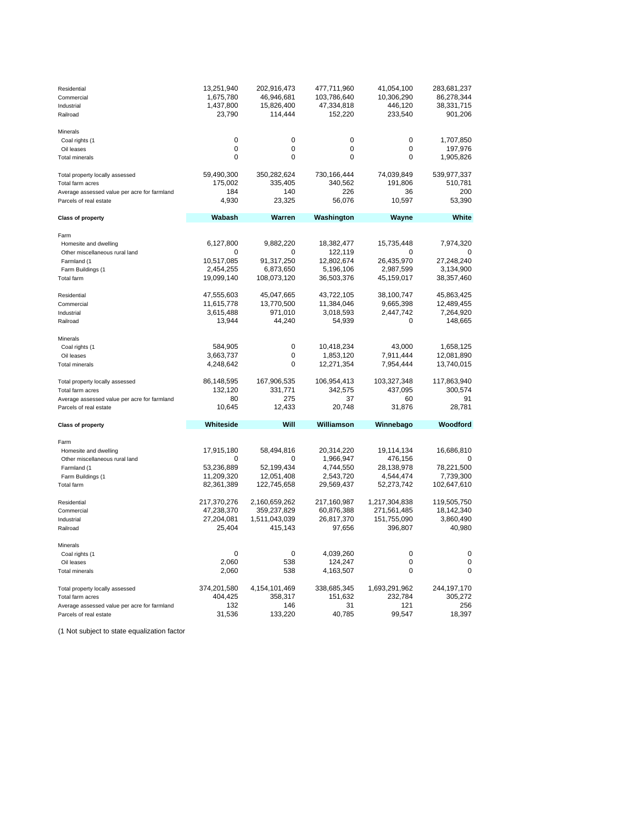| Residential<br>Commercial<br>Industrial<br>Railroad                    | 13,251,940<br>1,675,780<br>1,437,800<br>23,790 | 202,916,473<br>46,946,681<br>15,826,400<br>114,444 | 477,711,960<br>103,786,640<br>47,334,818<br>152,220 | 41,054,100<br>10,306,290<br>446,120<br>233,540 | 283,681,237<br>86,278,344<br>38,331,715<br>901,206 |
|------------------------------------------------------------------------|------------------------------------------------|----------------------------------------------------|-----------------------------------------------------|------------------------------------------------|----------------------------------------------------|
| Minerals                                                               |                                                |                                                    |                                                     |                                                |                                                    |
| Coal rights (1                                                         | $\Omega$                                       | 0                                                  | 0                                                   | $\Omega$                                       | 1,707,850                                          |
| Oil leases                                                             | $\Omega$                                       | $\Omega$                                           | $\Omega$                                            | $\Omega$                                       | 197,976                                            |
| <b>Total minerals</b>                                                  | 0                                              | $\mathbf 0$                                        | 0                                                   | $\Omega$                                       | 1,905,826                                          |
| Total property locally assessed                                        | 59,490,300                                     | 350,282,624                                        | 730,166,444                                         | 74,039,849                                     | 539,977,337                                        |
| Total farm acres                                                       | 175,002                                        | 335,405                                            | 340,562                                             | 191,806                                        | 510,781                                            |
| Average assessed value per acre for farmland<br>Parcels of real estate | 184<br>4,930                                   | 140<br>23,325                                      | 226<br>56,076                                       | 36<br>10,597                                   | 200<br>53,390                                      |
|                                                                        |                                                |                                                    |                                                     |                                                |                                                    |
| <b>Class of property</b>                                               | Wabash                                         | Warren                                             | Washington                                          | Wayne                                          | White                                              |
| Farm                                                                   |                                                |                                                    |                                                     |                                                |                                                    |
| Homesite and dwelling                                                  | 6,127,800                                      | 9,882,220                                          | 18,382,477                                          | 15,735,448                                     | 7,974,320                                          |
| Other miscellaneous rural land                                         | O                                              | 0                                                  | 122,119                                             | $\Omega$                                       | O                                                  |
| Farmland (1                                                            | 10,517,085<br>2,454,255                        | 91,317,250<br>6,873,650                            | 12,802,674                                          | 26,435,970                                     | 27,248,240                                         |
| Farm Buildings (1<br>Total farm                                        | 19,099,140                                     | 108,073,120                                        | 5,196,106<br>36,503,376                             | 2,987,599<br>45,159,017                        | 3,134,900<br>38,357,460                            |
|                                                                        |                                                |                                                    |                                                     |                                                |                                                    |
| Residential                                                            | 47,555,603                                     | 45,047,665                                         | 43,722,105                                          | 38,100,747                                     | 45,863,425                                         |
| Commercial                                                             | 11,615,778                                     | 13,770,500                                         | 11,384,046                                          | 9,665,398                                      | 12,489,455                                         |
| Industrial                                                             | 3,615,488                                      | 971,010                                            | 3,018,593                                           | 2,447,742                                      | 7,264,920                                          |
| Railroad                                                               | 13,944                                         | 44,240                                             | 54,939                                              | 0                                              | 148,665                                            |
| Minerals                                                               |                                                |                                                    |                                                     |                                                |                                                    |
| Coal rights (1                                                         | 584,905                                        | $\mathbf 0$                                        | 10,418,234                                          | 43.000                                         | 1,658,125                                          |
| Oil leases                                                             | 3,663,737                                      | $\mathbf 0$                                        | 1,853,120                                           | 7,911,444                                      | 12,081,890                                         |
| <b>Total minerals</b>                                                  | 4,248,642                                      | $\mathbf 0$                                        | 12,271,354                                          | 7,954,444                                      | 13,740,015                                         |
| Total property locally assessed                                        | 86,148,595                                     | 167,906,535                                        | 106,954,413                                         | 103,327,348                                    | 117,863,940                                        |
| Total farm acres                                                       | 132,120                                        | 331,771                                            | 342,575                                             | 437,095                                        | 300,574                                            |
| Average assessed value per acre for farmland                           | 80                                             | 275                                                | 37                                                  | 60                                             | 91                                                 |
| Parcels of real estate                                                 | 10,645                                         | 12,433                                             | 20,748                                              | 31,876                                         | 28,781                                             |
| <b>Class of property</b>                                               | Whiteside                                      | Will                                               | Williamson                                          | Winnebago                                      | Woodford                                           |
|                                                                        |                                                |                                                    |                                                     |                                                |                                                    |
| Farm                                                                   | 17,915,180                                     | 58,494,816                                         | 20,314,220                                          | 19,114,134                                     | 16,686,810                                         |
| Homesite and dwelling<br>Other miscellaneous rural land                | 0                                              | $\mathbf 0$                                        | 1,966,947                                           | 476,156                                        |                                                    |
| Farmland (1                                                            | 53,236,889                                     | 52,199,434                                         | 4,744,550                                           | 28,138,978                                     | 78,221,500                                         |
| Farm Buildings (1                                                      | 11,209,320                                     | 12,051,408                                         | 2,543,720                                           | 4,544,474                                      | 7,739,300                                          |
| Total farm                                                             | 82,361,389                                     | 122,745,658                                        | 29,569,437                                          | 52,273,742                                     | 102,647,610                                        |
| Residential                                                            | 217,370,276                                    | 2,160,659,262                                      | 217,160,987                                         | 1,217,304,838                                  | 119,505,750                                        |
| Commercial                                                             | 47,238,370                                     | 359,237,829                                        | 60,876,388                                          | 271,561,485                                    | 18,142,340                                         |
| Industrial                                                             | 27,204,081                                     | 1,511,043,039                                      | 26,817,370                                          | 151,755,090                                    | 3,860,490                                          |
| Railroad                                                               | 25.404                                         | 415.143                                            | 97,656                                              | 396,807                                        | 40.980                                             |
| Minerals                                                               |                                                |                                                    |                                                     |                                                |                                                    |
| Coal rights (1                                                         | $\Omega$                                       | $\mathbf 0$                                        | 4,039,260                                           | $\Omega$                                       | $\mathbf 0$                                        |
| Oil leases                                                             | 2,060                                          | 538                                                | 124,247                                             | 0                                              | $\mathbf 0$                                        |
| <b>Total minerals</b>                                                  | 2,060                                          | 538                                                | 4,163,507                                           | $\mathbf 0$                                    | 0                                                  |
| Total property locally assessed                                        | 374,201,580                                    | 4,154,101,469                                      | 338,685,345                                         | 1,693,291,962                                  | 244,197,170                                        |
| Total farm acres                                                       | 404,425                                        | 358,317                                            | 151,632                                             | 232,784                                        | 305,272                                            |
| Average assessed value per acre for farmland                           | 132                                            | 146                                                | 31                                                  | 121                                            | 256                                                |
| Parcels of real estate                                                 | 31,536                                         | 133,220                                            | 40,785                                              | 99,547                                         | 18,397                                             |

(1 Not subject to state equalization factor